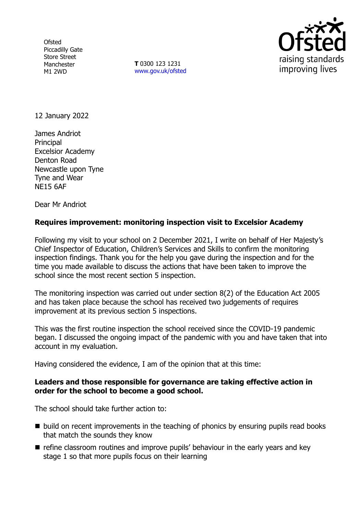**Ofsted** Piccadilly Gate Store Street Manchester M1 2WD

**T** 0300 123 1231 [www.gov.uk/ofsted](http://www.gov.uk/ofsted)



12 January 2022

James Andriot Principal Excelsior Academy Denton Road Newcastle upon Tyne Tyne and Wear NE15 6AF

Dear Mr Andriot

## **Requires improvement: monitoring inspection visit to Excelsior Academy**

Following my visit to your school on 2 December 2021, I write on behalf of Her Majesty's Chief Inspector of Education, Children's Services and Skills to confirm the monitoring inspection findings. Thank you for the help you gave during the inspection and for the time you made available to discuss the actions that have been taken to improve the school since the most recent section 5 inspection.

The monitoring inspection was carried out under section 8(2) of the Education Act 2005 and has taken place because the school has received two judgements of requires improvement at its previous section 5 inspections.

This was the first routine inspection the school received since the COVID-19 pandemic began. I discussed the ongoing impact of the pandemic with you and have taken that into account in my evaluation.

Having considered the evidence, I am of the opinion that at this time:

### **Leaders and those responsible for governance are taking effective action in order for the school to become a good school.**

The school should take further action to:

- build on recent improvements in the teaching of phonics by ensuring pupils read books that match the sounds they know
- $\blacksquare$  refine classroom routines and improve pupils' behaviour in the early years and key stage 1 so that more pupils focus on their learning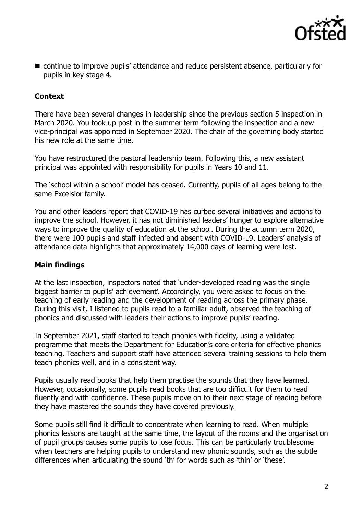

■ continue to improve pupils' attendance and reduce persistent absence, particularly for pupils in key stage 4.

# **Context**

There have been several changes in leadership since the previous section 5 inspection in March 2020. You took up post in the summer term following the inspection and a new vice-principal was appointed in September 2020. The chair of the governing body started his new role at the same time.

You have restructured the pastoral leadership team. Following this, a new assistant principal was appointed with responsibility for pupils in Years 10 and 11.

The 'school within a school' model has ceased. Currently, pupils of all ages belong to the same Excelsior family.

You and other leaders report that COVID-19 has curbed several initiatives and actions to improve the school. However, it has not diminished leaders' hunger to explore alternative ways to improve the quality of education at the school. During the autumn term 2020, there were 100 pupils and staff infected and absent with COVID-19. Leaders' analysis of attendance data highlights that approximately 14,000 days of learning were lost.

## **Main findings**

At the last inspection, inspectors noted that 'under-developed reading was the single biggest barrier to pupils' achievement'. Accordingly, you were asked to focus on the teaching of early reading and the development of reading across the primary phase. During this visit, I listened to pupils read to a familiar adult, observed the teaching of phonics and discussed with leaders their actions to improve pupils' reading.

In September 2021, staff started to teach phonics with fidelity, using a validated programme that meets the Department for Education's core criteria for effective phonics teaching. Teachers and support staff have attended several training sessions to help them teach phonics well, and in a consistent way.

Pupils usually read books that help them practise the sounds that they have learned. However, occasionally, some pupils read books that are too difficult for them to read fluently and with confidence. These pupils move on to their next stage of reading before they have mastered the sounds they have covered previously.

Some pupils still find it difficult to concentrate when learning to read. When multiple phonics lessons are taught at the same time, the layout of the rooms and the organisation of pupil groups causes some pupils to lose focus. This can be particularly troublesome when teachers are helping pupils to understand new phonic sounds, such as the subtle differences when articulating the sound 'th' for words such as 'thin' or 'these'.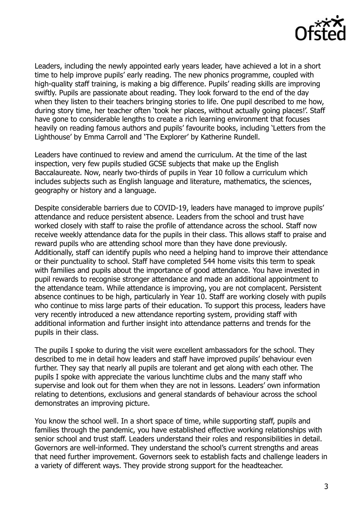

Leaders, including the newly appointed early years leader, have achieved a lot in a short time to help improve pupils' early reading. The new phonics programme, coupled with high-quality staff training, is making a big difference. Pupils' reading skills are improving swiftly. Pupils are passionate about reading. They look forward to the end of the day when they listen to their teachers bringing stories to life. One pupil described to me how, during story time, her teacher often 'took her places, without actually going places!'. Staff have gone to considerable lengths to create a rich learning environment that focuses heavily on reading famous authors and pupils' favourite books, including 'Letters from the Lighthouse' by Emma Carroll and 'The Explorer' by Katherine Rundell.

Leaders have continued to review and amend the curriculum. At the time of the last inspection, very few pupils studied GCSE subjects that make up the English Baccalaureate. Now, nearly two-thirds of pupils in Year 10 follow a curriculum which includes subjects such as English language and literature, mathematics, the sciences, geography or history and a language.

Despite considerable barriers due to COVID-19, leaders have managed to improve pupils' attendance and reduce persistent absence. Leaders from the school and trust have worked closely with staff to raise the profile of attendance across the school. Staff now receive weekly attendance data for the pupils in their class. This allows staff to praise and reward pupils who are attending school more than they have done previously. Additionally, staff can identify pupils who need a helping hand to improve their attendance or their punctuality to school. Staff have completed 544 home visits this term to speak with families and pupils about the importance of good attendance. You have invested in pupil rewards to recognise stronger attendance and made an additional appointment to the attendance team. While attendance is improving, you are not complacent. Persistent absence continues to be high, particularly in Year 10. Staff are working closely with pupils who continue to miss large parts of their education. To support this process, leaders have very recently introduced a new attendance reporting system, providing staff with additional information and further insight into attendance patterns and trends for the pupils in their class.

The pupils I spoke to during the visit were excellent ambassadors for the school. They described to me in detail how leaders and staff have improved pupils' behaviour even further. They say that nearly all pupils are tolerant and get along with each other. The pupils I spoke with appreciate the various lunchtime clubs and the many staff who supervise and look out for them when they are not in lessons. Leaders' own information relating to detentions, exclusions and general standards of behaviour across the school demonstrates an improving picture.

You know the school well. In a short space of time, while supporting staff, pupils and families through the pandemic, you have established effective working relationships with senior school and trust staff. Leaders understand their roles and responsibilities in detail. Governors are well-informed. They understand the school's current strengths and areas that need further improvement. Governors seek to establish facts and challenge leaders in a variety of different ways. They provide strong support for the headteacher.